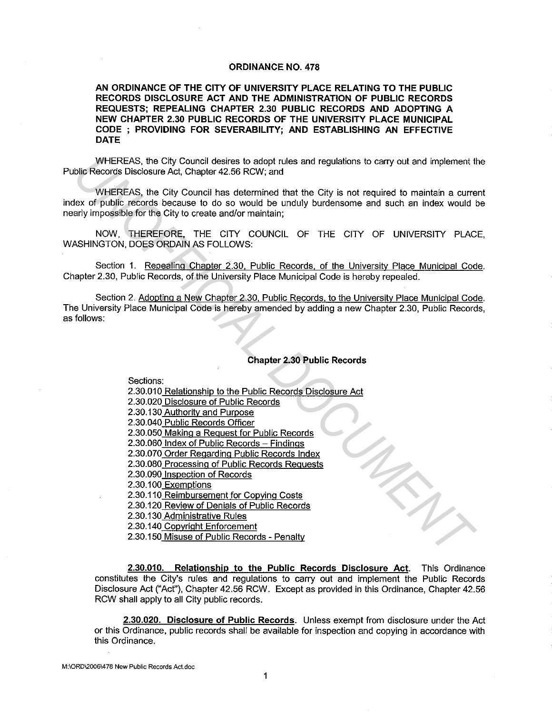#### **ORDINANCE NO. 478**

**AN ORDINANCE OF THE CITY OF UNIVERSITY PLACE RELATING TO THE PUBLIC RECORDS DISCLOSURE ACT AND THE ADMINISTRATION OF PUBLIC RECORDS REQUESTS; REPEALING CHAPTER 2.30 PUBLIC RECORDS AND ADOPTING A NEW CHAPTER 2.30 PUBLIC RECORDS OF THE UNIVERSITY PLACE MUNICIPAL CODE ; PROVIDING FOR SEVERABILITY; AND ESTABLISHING AN EFFECTIVE DATE** 

WHEREAS, the City Council desires to adopt rules and regulations to carry out and implement the Public Records Disclosure Act, Chapter 42.56 RCW; and

WHEREAS, the City Council has determined that the City is not required to maintain a current index of public records because to do so would be unduly burdensome and such an index would be nearly impossible for the City to create and/or maintain;

NOW, THEREFORE, THE CITY COUNCIL OF THE CITY OF UNIVERSITY PLACE, WASHINGTON, DOES ORDAIN AS FOLLOWS:

Section 1. Repealing Chapter 2.30, Public Records, of the University Place Municipal Code. Chapter 2.30, Public Records, of the University Place Municipal Code is hereby repealed.

Section 2. Adopting a New Chapter 2.30, Public Records. to the University Place Municipal Code. The University Place Municipal Code is hereby amended by adding a new Chapter 2.30, Public Records, as follows:

# **Chapter 2.30 Public Records**

Sections:

- 2.30.010 Relationship to the Public Records Disclosure Act 2.30.020 Disclosure of Public Records 2.30.130 Authority and Purpose 2.30.040 Public Records Officer 2.30.050 Making a Request for Public Records 2.30.060 Index of Public Records - Findings 2.30.070 Order Regarding Public Records Index 2.30.080 Processing of Public Records Requests 2.30.090 Inspection of Records 2.30.100 Exemptions 2.30.110 Reimbursement for Copying Costs 2.30.120 Review of Denials of Public Records 2.30.130 Administrative Rules 2.30.140 Copyright Enforcement WHEREAS, the City Council desires to edopt rules and regulations to carry out and implement the Night Council council and statemined that the City is not required to maintain a curre<br>
VHEREAS, the City Council has determin
	- 2.30.150 Misuse of Public Records Penalty

**2.30.010. Relationship to the Public Records Disclosure Act.** This Ordinance constitutes the City's rules and regulations to carry out and implement the Public Records Disclosure Act ("Acf'), Chapter 42.56 RCW. Except as provided in this Ordinance, Chapter 42.56 RCW shall apply to all City public records.

**2.30.020. Disclosure of Public Records.** Unless exempt from disclosure under the Act or this Ordinance, public records shall be available for inspection and copying in accordance with this Ordinance.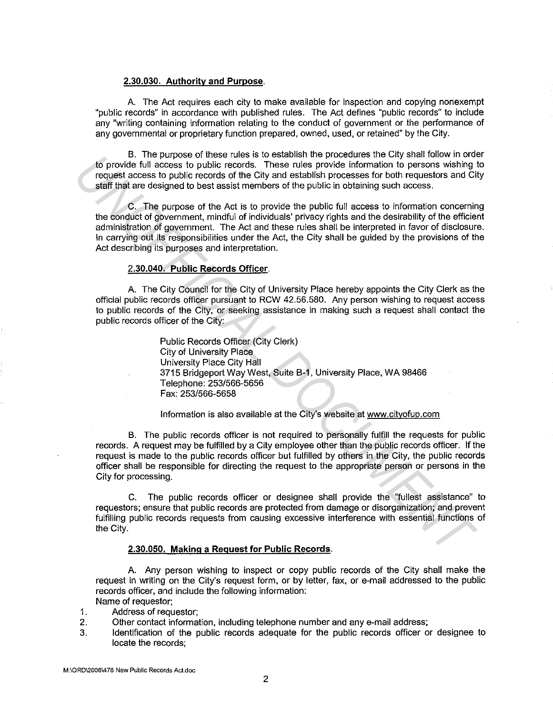### 2.30.030. Authority and Purpose.

A. The Act requires each city to make available for inspection and copying nonexempt "public records" in accordance with published rules. The Act defines "public records" to include any "writing containing information relating to the conduct of government or the performance of any governmental or proprietary function prepared, owned, used, or retained" by the City.

B. The purpose of these rules is to establish the procedures the City shall follow in order to provide full access to public records. These rules provide information to persons wishing to request access to public records of the City and establish processes for both requestors and City staff that are designed to best assist members of the public in obtaining such access.

C. The purpose of the Act is to provide the public full access to information concerning the conduct of government, mindful of individuals' privacy rights and the desirability of the efficient administration of government. The Act and these rules shall be interpreted in favor of disclosure. In carrying out its responsibilities under the Act, the City shall be guided by the provisions of the Act describing its purposes and interpretation. **UNITENTIFY CONTROVER CONTROVER CONTROVER CONTROVER CONTROVER CONTROVER CONTROVER CONTROVER CONTROVER CONTROVER CONTROVER CONTROVER CONTROVER CONTROVER CONTROVER CONTROVER CONTROVER CONTROVER CONTROVER CONTROVER CONTROVER** 

## 2.30.040. Public Records Officer.

A. The City Council for the City of University Place hereby appoints the City Clerk as the official public records officer pursuant to RCW 42.56.580. Any person wishing to request access to public records of the City, or seeking assistance in making such a request shall contact the public records officer of the City:

> Public Records Officer (City Clerk) City of University Place University Place City Hall 3715 Bridgeport Way West, Suite B-1, University Place, WA 98466 Telephone: 253/566-5656 Fax: 253/566-5658

Information is also available at the City's website at www.cityofup.com

B. The public records officer is not required to personally fulfill the requests for public records. A request may be fulfilled by a City employee other than the public records officer. If the request is made to the public records officer but fulfilled by others in the City, the public records officer shall be responsible for directing the request to the appropriate person or persons in the City for processing.

C. The public records officer or designee shall provide the "fullest assistance" to requestors; ensure that public records are protected from damage or disorganization; and prevent fulfilling public records requests from causing excessive interference with essential functions of the City.

# 2.30.050. Making a Request for Public Records.

A. Any person wishing to inspect or copy public records of the City shall make the request in writing on the City's request form, or by letter, fax, or e-mail addressed to the public records officer, and include the following information:

Name of requestor;

- 1. Address of requestor;
- 2. Other contact information, including telephone number and any e-mail address;
- 3. Identification of the public records adequate for the public records officer or designee to locate the records;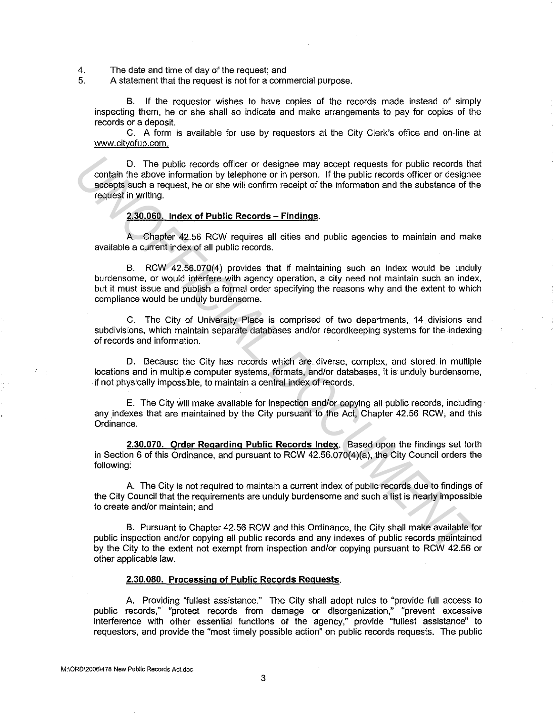4. The date and time of day of the request; and<br>5. A statement that the request is not for a comparation

5. A statement that the request is not for a commercial purpose.

B. If the requestor wishes to have copies of the records made instead of simply inspecting them, he or she shall so indicate and make arrangements to pay for copies of the records or a deposit.

C. A form is available for use by requesters at the City Clerk's office and on-line at www.cityofup.com.

D. The public records officer or designee may accept requests for public records that contain the above information by telephone or in person. If the public records officer or designee accepts such a request, he or she will confirm receipt of the information and the substance of the request in writing.

### **2.30.060. Index of Public Records - Findings.**

A. Chapter 42.56 RCW requires all cities and public agencies to maintain and make available a current index of all public records.

B. RCW 42.56.070(4) provides that if maintaining such an index would be unduly burdensome, or would interfere with agency operation, a city need not maintain such an index, but it must issue and publish a formal order specifying the reasons why and the extent to which compliance would be unduly burdensome. D. The public records officer or designee may eccept requests for public records the<br>excepts such a request, he or she will continuin receipt of the information and the substance of the<br>excepts such a request ho or she wi

C. The City of University Place is comprised of two departments, 14 divisions and subdivisions, which maintain separate databases and/or recordkeeping systems for the indexing of records and information.

D. Because the City has records which are. diverse, complex, and stored in multiple locations and in multiple computer systems, formats, and/or databases, it is unduly burdensome, if not physically impossible, to maintain a central index of records.

E. The City will make available for inspection and/or copying all public records, including any indexes that are maintained by the City pursuant to the Act, Chapter 42.56 RCW, and this Ordinance.

**2.30.070. Order Regarding Public Records Index.** Based upon the findings set forth in Section 6 of this Ordinance, and pursuant to RCW 42.56.070(4)(a), the City Council orders the following:

A. The City is not required to maintain a current index of public records due to findings of the City Council that the requirements are unduly burdensome and such a list is nearly impossible to create and/or maintain; and

B. Pursuant to Chapter 42.56 RCW and this Ordinance, the City shall make available for public inspection and/or copying all public records and any indexes of public records maintained by the City to the extent not exempt from inspection and/or copying pursuant to RCW 42.56 or other applicable law.

#### **2.30.080. Processing of Public Records Requests.**

A. Providing "fullest assistance." The City shall adopt rules to "provide full access to public records," "protect records from damage or disorganization," "prevent excessive interference with other essential functions of the agency," provide "fullest assistance" to requestors, and provide the "most timely possible action" on public records requests. The public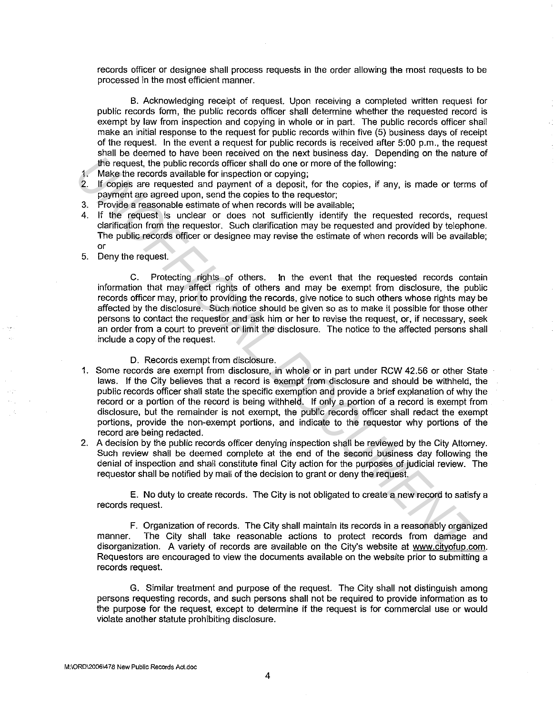records officer or designee shall process requests in the order allowing the most requests to be processed in the most efficient manner.

B. Acknowledging receipt of request. Upon receiving a completed written request for public records form, the public records officer shall determine whether the requested record is exempt by law from inspection and copying in whole or in part. The public records officer shall make an initial response to the request for public records within five (5) business days of receipt of the request. In the *event* a request for public records is received after 5:00 p.m., the request shall be deemed to have been received on the next business day. Depending on the nature of the request, the public records officer shall do one or more of the following:

1. Make the records available for inspection or copying;

- 2. If copies are requested and payment of a deposit, for the copies, if any, is made or terms of payment are agreed upon, send the copies to the requestor;
- 3. Provide a reasonable estimate of when records will be available;
- 4. If the request is unclear or does not sufficiently identify the requested records, request clarification from the requestor. Such clarification may be requested and provided by telephone. The public records officer or designee may revise the estimate of when records will be available; or
- 5. Deny the request.

C. Protecting rights of others. In the *event* that the requested records contain information that may affect rights of others and may be exempt from disclosure, the public records officer may, prior to providing the records, give notice to such others whose rights may be affected by the disclosure. Such notice should be given so as to make it possible for those other persons to contact the requestor and ask him or her to revise the request, or, if necessary, seek an order from a court to prevent or limit the disclosure. The notice to the affected persons shall include a copy of the request.

D. Records exempt from disclosure.

- 1. Some records are exempt from disclosure, in whole or in part under RCW 42.56 or other State laws. If the City believes that a record is exempt from disclosure and should be withheld, the public records officer shall state the specific exemption and provide a brief explanation of why the record or a portion of the record is being withheld. If only a portion of a record is exempt from disclosure, but the remainder is not exempt, the public records officer shall redact the exempt portions, provide the non-exempt portions, and indicate to the requestor why portions of the record are being redacted. **Univergrets the public records officer shall do one at move that is proposed the following.**<br> **In Make the records summate for three contents of the following:**<br> **2.** If copies are requested and payment of a doposit, for
- 2. A decision by the public records officer denying inspection shall be reviewed by the City Attorney. Such review shall be deemed complete at the end of the second business day following the denial of inspection and shall constitute final City action for the purposes of judicial review. The requestor shall be notified by mail of the decision to grant or deny the request.

E. No duty to create records. The City is not obligated to create a new record to satisfy a records request.

F. Organization of records. The City shall maintain its records in a reasonably organized manner. The City shall take reasonable actions to protect records from damage and disorganization. A variety of records are available on the City's website at www.cityofup.com. Requestors are encouraged to view the documents available on the website prior to submitting a records request.

G. Similar treatment and purpose of the request. The City shall not distinguish among persons requesting records, and such persons shall not be required to provide information as to the purpose for the request, except to determine if the request is for commercial use or would violate another statute prohibiting disclosure.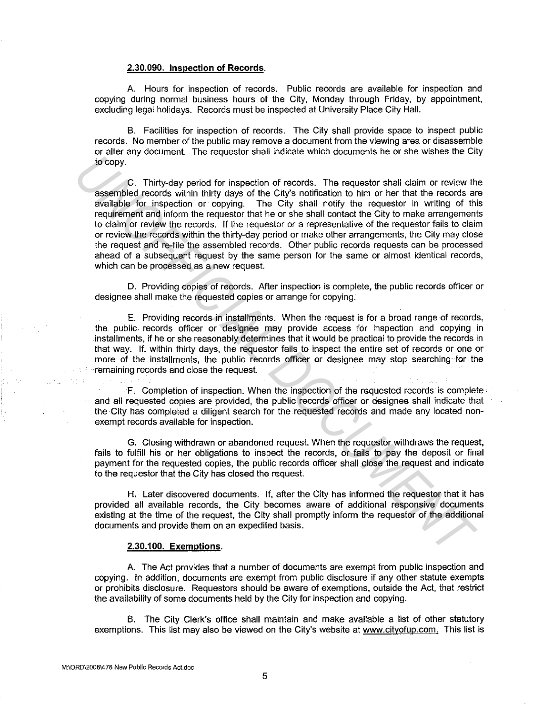### **2.30.090. Inspection of Records.**

A. Hours for inspection of records. Public records are available for inspection and copying during normal business hours of the City, Monday through Friday, by appointment, excluding legal holidays. Records must be inspected at University Place City Hall.

B. Facilities for inspection of records. The City shall provide space to inspect public records. No member of the public may remove a document from the viewing area or disassemble or alter any document. The requestor shall indicate which documents he or she wishes the City to copy.

C. Thirty-day period for inspection of records. The requestor shall claim or review the assembled records within thirty days of the City's notification to him or her that the records are available for inspection or copying. The City shall notify the requestor in writing of this requirement and inform the requestor that he or she shall contact the City to make arrangements to claim or review the records. If the requestor or a representative of the requestor fails to claim or review the records within the thirty-day period or make other arrangements, the City may close the request and re-file the assembled records. other public records requests can be processed ahead of a subsequent request by the same person for the same or almost identical records, which can be processed as a new request. **E.** Thirty-day particle in the peached one is the requester shall dialin or review the secure of the case of the case of the case of the case of the case of the case of the case of the case of the case of the respective o

D. Providing copies of records. After inspection is complete, the public records officer or designee shall make the requested copies or arrange for copying.

E. Providing records in installments. When the request is for a broad range of records, the public records officer or designee may provide access for inspection and copying in installments, if he or she reasonably determines that it would be practical to provide the records in that way. If, within thirty days, the requestor fails to inspect the entire set of records or one or more of the installments, the public records officer or designee may stop searching for the remaining records and close the request.

. F. Completion of inspection. When the inspection of the requested records is complete· and all requested copies are provided, the public records officer or designee shall indicate that the City has completed a diligent search for the requested records and made any located nonexempt records available for inspection.

G. Closing withdrawn or abandoned request. When the requestor withdraws the request, fails to fulfill his or her obligations to inspect the records, or fails to pay the deposit or final payment for the requested copies, the public records officer shall close the request and indicate to the requestor that the City has closed the request.

H. Later discovered documents. If, after the City has informed the requestor that it has provided all available records, the City becomes aware of additional responsive documents existing at the time of the request, the City shall promptly inform the requestor of the additional documents and provide them on an expedited basis.

### **2.30.100. Exemptions.**

A. The Act provides that a number of documents are exempt from public inspection and copying. In addition, documents are exempt from public disclosure if any other statute exempts or prohibits disclosure. Requestors should be aware of exemptions, outside the Act, that restrict the availability of some documents held by the City for inspection and copying.

B. The City Clerk's office shall maintain and make available a list of other statutory exemptions. This list may also be viewed on the City's website at www.cityofuo.com. This list is

COM 2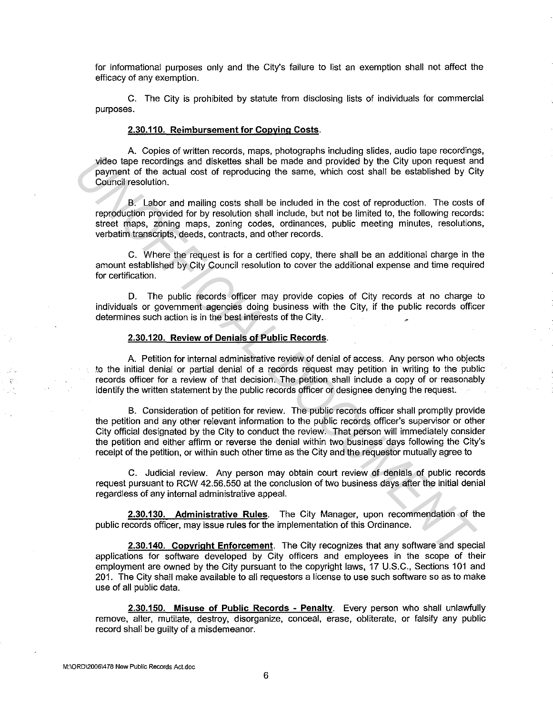for informational purposes only and the City's failure to list an exemption shall not affect the efficacy of any exemption.

C. The City is prohibited by statute from disclosing lists of individuals for commercial purposes.

# **2.30.110. Reimbursement for Copying Costs.**

A. Copies of written records, maps, photographs including slides, audio tape recordings, video tape recordings and diskettes shall be made and provided by the City upon request and payment of the actual cost of reproducing the same, which cost shall be established by City Council resolution.

B. Labor and mailing costs shall be included in the cost of reproduction. The costs of reproduction provided for by resolution shall include, but not be limited to, the following records: street maps, zoning maps, zoning codes, ordinances, public meeting minutes, resolutions, verbatim transcripts, deeds, contracts, and other records.

C. Where the request is for a certified copy, there shall be an additional charge in the amount established by City Council resolution to cover the additional expense and time required for certification.

D. The public records officer may provide copies of City records at no charge to individuals or government agencies doing business with the City, if the public records officer determines such action is in the best interests of the City.

# **2.30.120. Review of Denials of Public Records.**

A. Petition for internal administrative review of denial of access. Any person who objects to the initial denial or partial denial of a records request may petition in writing to the public records officer for a review of that decision. The petition shall include a copy of or reasonably identify the written statement by the public records officer or designee denying the request.

B. Consideration of petition for review. The public records officer shall promptly provide the petition and any other relevant information to the public records officer's supervisor or other City official designated by the City to conduct the review. That person will immediately consider the petition and either affirm or reverse the denial within two business days following the City's receipt of the petition, or within such other time as the City and the requestor mutually agree to video tape recordings and diskettes shall be made and provided by the City upon request and<br>payment of the actual cost of reproduction.<br> **US** Leave mad mailing costs shall be included in the ost of reproduction. The cost o

C. Judicial review. Any person may obtain court review of denials of public records request pursuant to RCW 42.56.550 at the conclusion of two business days after the initial denial regardless of any internal administrative appeal.

**2.30.130. Administrative Rules.** The City Manager, upon recommendation of the public records officer, may issue rules for the implementation of this Ordinance.

**2.30.140. Copyright Enforcement.** The City recognizes that any software and special applications for software developed by City officers and employees in the scope of their employment are owned by the City pursuant to the copyright laws, 17 U.S.C., Sections 101 and 201. The City shall make available to all requestors a license to use such software so as to make use of all public data.

**2.30.150. Misuse of Public Records - Penalty.** Every person who shall unlawfully remove, alter, mutilate, destroy, disorganize, conceal, erase, obliterate, or falsify any public record shall be guilty of a misdemeanor.